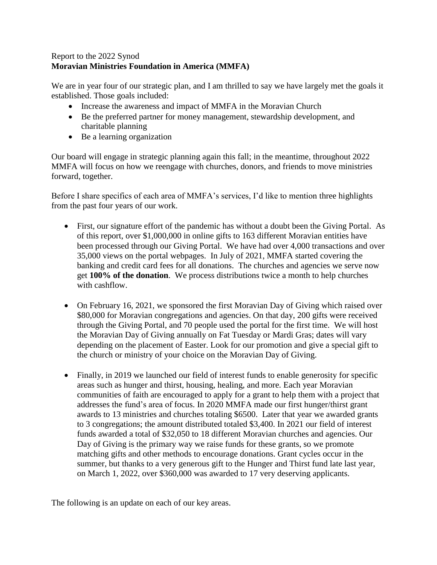## Report to the 2022 Synod **Moravian Ministries Foundation in America (MMFA)**

We are in year four of our strategic plan, and I am thrilled to say we have largely met the goals it established. Those goals included:

- Increase the awareness and impact of MMFA in the Moravian Church
- Be the preferred partner for money management, stewardship development, and charitable planning
- Be a learning organization

Our board will engage in strategic planning again this fall; in the meantime, throughout 2022 MMFA will focus on how we reengage with churches, donors, and friends to move ministries forward, together.

Before I share specifics of each area of MMFA's services, I'd like to mention three highlights from the past four years of our work.

- First, our signature effort of the pandemic has without a doubt been the Giving Portal. As of this report, over \$1,000,000 in online gifts to 163 different Moravian entities have been processed through our Giving Portal. We have had over 4,000 transactions and over 35,000 views on the portal webpages. In July of 2021, MMFA started covering the banking and credit card fees for all donations. The churches and agencies we serve now get **100% of the donation**. We process distributions twice a month to help churches with cashflow.
- On February 16, 2021, we sponsored the first Moravian Day of Giving which raised over \$80,000 for Moravian congregations and agencies. On that day, 200 gifts were received through the Giving Portal, and 70 people used the portal for the first time. We will host the Moravian Day of Giving annually on Fat Tuesday or Mardi Gras; dates will vary depending on the placement of Easter. Look for our promotion and give a special gift to the church or ministry of your choice on the Moravian Day of Giving.
- Finally, in 2019 we launched our field of interest funds to enable generosity for specific areas such as hunger and thirst, housing, healing, and more. Each year Moravian communities of faith are encouraged to apply for a grant to help them with a project that addresses the fund's area of focus. In 2020 MMFA made our first hunger/thirst grant awards to 13 ministries and churches totaling \$6500. Later that year we awarded grants to 3 congregations; the amount distributed totaled \$3,400. In 2021 our field of interest funds awarded a total of \$32,050 to 18 different Moravian churches and agencies. Our Day of Giving is the primary way we raise funds for these grants, so we promote matching gifts and other methods to encourage donations. Grant cycles occur in the summer, but thanks to a very generous gift to the Hunger and Thirst fund late last year, on March 1, 2022, over \$360,000 was awarded to 17 very deserving applicants.

The following is an update on each of our key areas.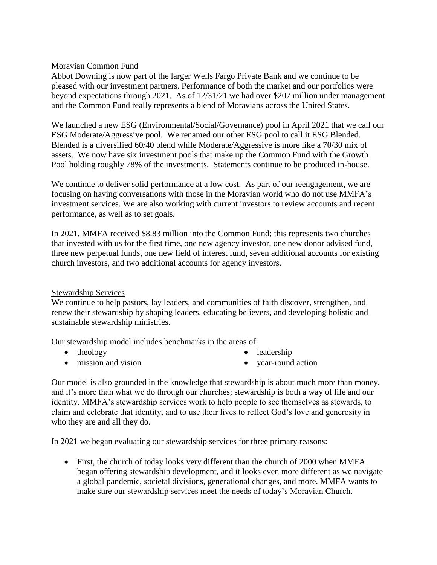## Moravian Common Fund

Abbot Downing is now part of the larger Wells Fargo Private Bank and we continue to be pleased with our investment partners. Performance of both the market and our portfolios were beyond expectations through 2021. As of 12/31/21 we had over \$207 million under management and the Common Fund really represents a blend of Moravians across the United States.

We launched a new ESG (Environmental/Social/Governance) pool in April 2021 that we call our ESG Moderate/Aggressive pool. We renamed our other ESG pool to call it ESG Blended. Blended is a diversified 60/40 blend while Moderate/Aggressive is more like a 70/30 mix of assets. We now have six investment pools that make up the Common Fund with the Growth Pool holding roughly 78% of the investments. Statements continue to be produced in-house.

We continue to deliver solid performance at a low cost. As part of our reengagement, we are focusing on having conversations with those in the Moravian world who do not use MMFA's investment services. We are also working with current investors to review accounts and recent performance, as well as to set goals.

In 2021, MMFA received \$8.83 million into the Common Fund; this represents two churches that invested with us for the first time, one new agency investor, one new donor advised fund, three new perpetual funds, one new field of interest fund, seven additional accounts for existing church investors, and two additional accounts for agency investors.

## Stewardship Services

We continue to help pastors, lay leaders, and communities of faith discover, strengthen, and renew their stewardship by shaping leaders, educating believers, and developing holistic and sustainable stewardship ministries.

Our stewardship model includes benchmarks in the areas of:

 $\bullet$  theology

• leadership

• mission and vision

• vear-round action

Our model is also grounded in the knowledge that stewardship is about much more than money, and it's more than what we do through our churches; stewardship is both a way of life and our identity. MMFA's stewardship services work to help people to see themselves as stewards, to claim and celebrate that identity, and to use their lives to reflect God's love and generosity in who they are and all they do.

In 2021 we began evaluating our stewardship services for three primary reasons:

 First, the church of today looks very different than the church of 2000 when MMFA began offering stewardship development, and it looks even more different as we navigate a global pandemic, societal divisions, generational changes, and more. MMFA wants to make sure our stewardship services meet the needs of today's Moravian Church.